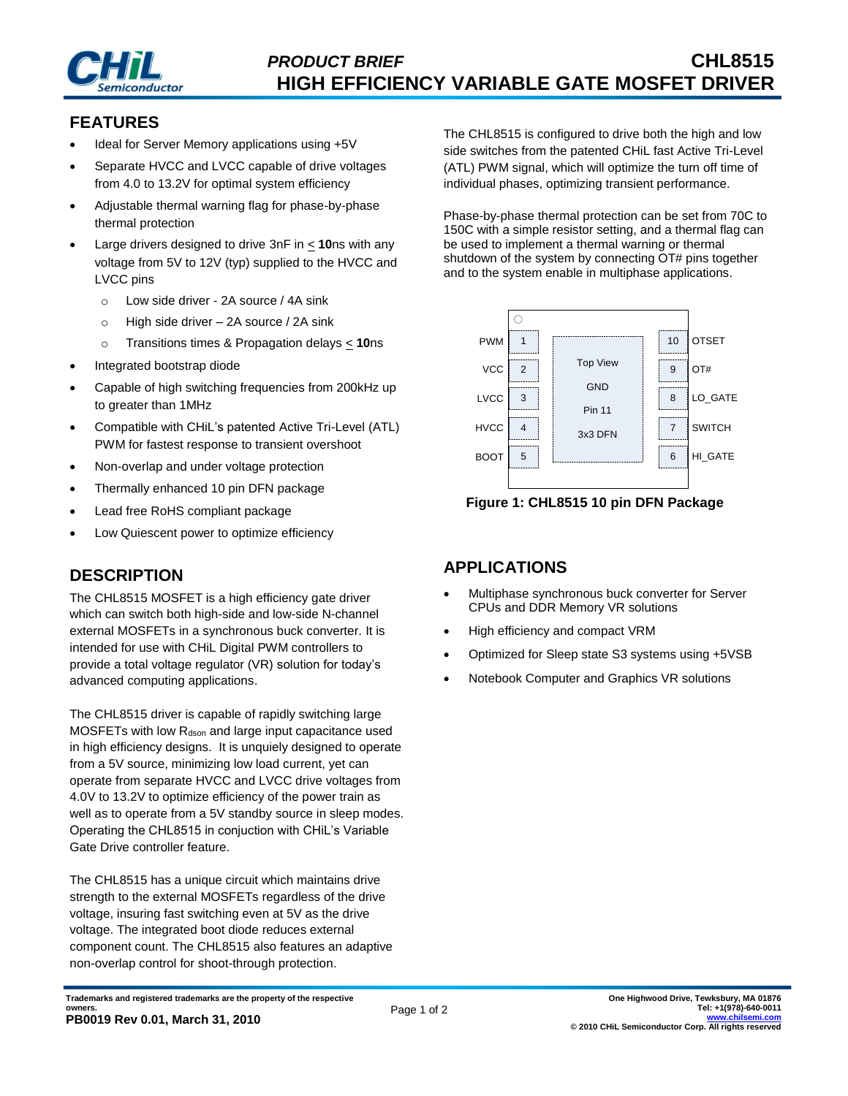

## **FEATURES**

- Ideal for Server Memory applications using +5V
- Separate HVCC and LVCC capable of drive voltages from 4.0 to 13.2V for optimal system efficiency
- Adjustable thermal warning flag for phase-by-phase thermal protection
- Large drivers designed to drive 3nF in < **10**ns with any voltage from 5V to 12V (typ) supplied to the HVCC and LVCC pins
	- o Low side driver 2A source / 4A sink
	- o High side driver 2A source / 2A sink
	- o Transitions times & Propagation delays < **10**ns
- Integrated bootstrap diode
- Capable of high switching frequencies from 200kHz up to greater than 1MHz
- Compatible with CHiL's patented Active Tri-Level (ATL) PWM for fastest response to transient overshoot
- Non-overlap and under voltage protection
- Thermally enhanced 10 pin DFN package
- Lead free RoHS compliant package
- Low Quiescent power to optimize efficiency

# **DESCRIPTION**

The CHL8515 MOSFET is a high efficiency gate driver which can switch both high-side and low-side N-channel external MOSFETs in a synchronous buck converter. It is intended for use with CHiL Digital PWM controllers to provide a total voltage regulator (VR) solution for today's advanced computing applications.

The CHL8515 driver is capable of rapidly switching large MOSFETs with low R<sub>dson</sub> and large input capacitance used in high efficiency designs. It is unquiely designed to operate from a 5V source, minimizing low load current, yet can operate from separate HVCC and LVCC drive voltages from 4.0V to 13.2V to optimize efficiency of the power train as well as to operate from a 5V standby source in sleep modes. Operating the CHL8515 in conjuction with CHiL's Variable Gate Drive controller feature.

The CHL8515 has a unique circuit which maintains drive strength to the external MOSFETs regardless of the drive voltage, insuring fast switching even at 5V as the drive voltage. The integrated boot diode reduces external component count. The CHL8515 also features an adaptive non-overlap control for shoot-through protection.

The CHL8515 is configured to drive both the high and low side switches from the patented CHiL fast Active Tri-Level (ATL) PWM signal, which will optimize the turn off time of individual phases, optimizing transient performance.

Phase-by-phase thermal protection can be set from 70C to 150C with a simple resistor setting, and a thermal flag can be used to implement a thermal warning or thermal shutdown of the system by connecting OT# pins together and to the system enable in multiphase applications.





# **APPLICATIONS**

- Multiphase synchronous buck converter for Server CPUs and DDR Memory VR solutions
- High efficiency and compact VRM
- Optimized for Sleep state S3 systems using +5VSB
- Notebook Computer and Graphics VR solutions